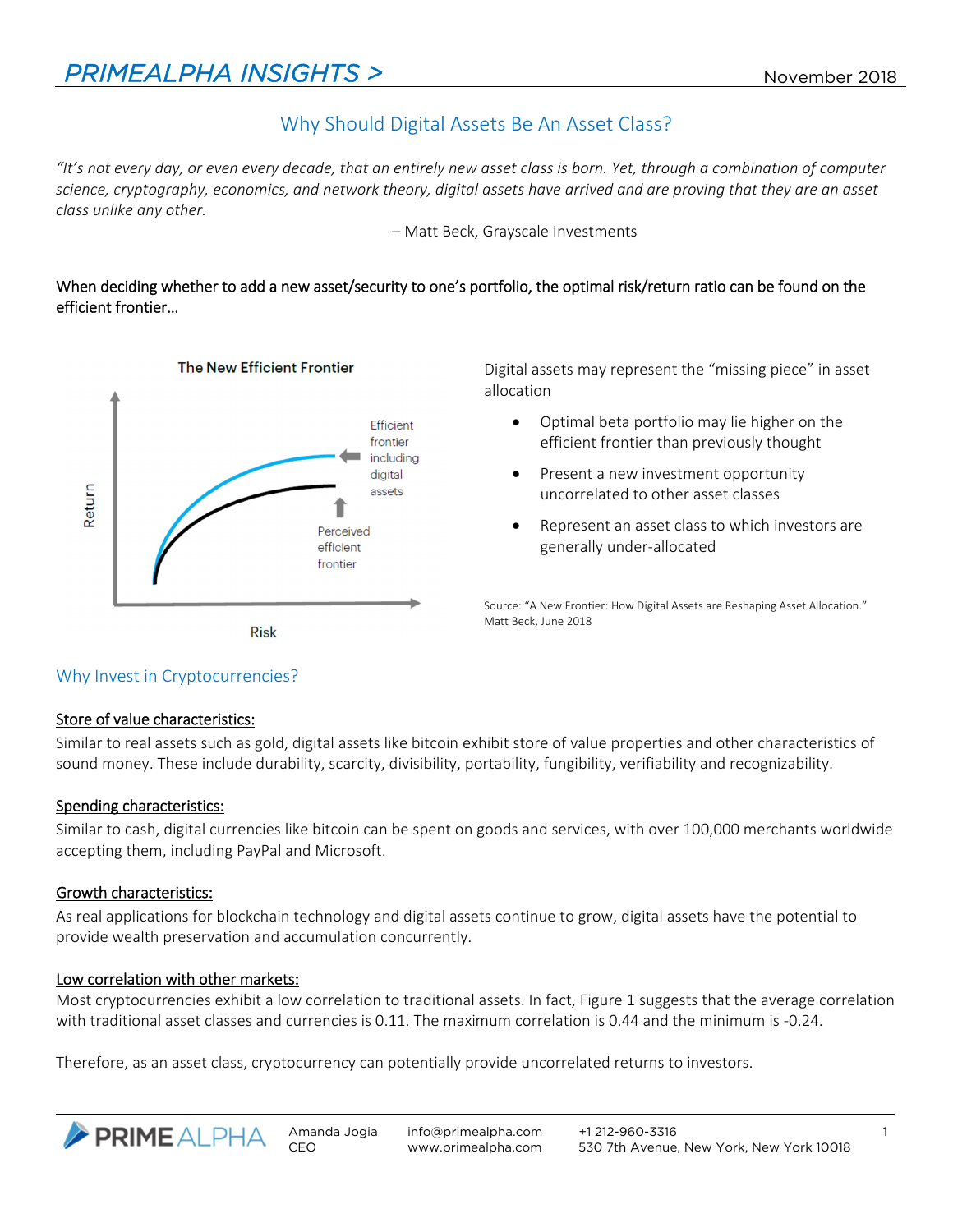# Why Should Digital Assets Be An Asset Class?

*"It's not every day, or even every decade, that an entirely new asset class is born. Yet, through a combination of computer science, cryptography, economics, and network theory, digital assets have arrived and are proving that they are an asset class unlike any other.* 

– Matt Beck, Grayscale Investments

# When deciding whether to add a new asset/security to one's portfolio, the optimal risk/return ratio can be found on the efficient frontier…



Digital assets may represent the "missing piece" in asset allocation

- Optimal beta portfolio may lie higher on the efficient frontier than previously thought
- Present a new investment opportunity uncorrelated to other asset classes
- Represent an asset class to which investors are generally under‐allocated

Source: "A New Frontier: How Digital Assets are Reshaping Asset Allocation." Matt Beck, June 2018

# Why Invest in Cryptocurrencies?

#### Store of value characteristics:

Similar to real assets such as gold, digital assets like bitcoin exhibit store of value properties and other characteristics of sound money. These include durability, scarcity, divisibility, portability, fungibility, verifiability and recognizability.

# Spending characteristics:

Similar to cash, digital currencies like bitcoin can be spent on goods and services, with over 100,000 merchants worldwide accepting them, including PayPal and Microsoft.

#### Growth characteristics:

As real applications for blockchain technology and digital assets continue to grow, digital assets have the potential to provide wealth preservation and accumulation concurrently.

# Low correlation with other markets:

Most cryptocurrencies exhibit a low correlation to traditional assets. In fact, Figure 1 suggests that the average correlation with traditional asset classes and currencies is 0.11. The maximum correlation is 0.44 and the minimum is ‐0.24.

Therefore, as an asset class, cryptocurrency can potentially provide uncorrelated returns to investors.

info@primealpha.com www.primealpha.com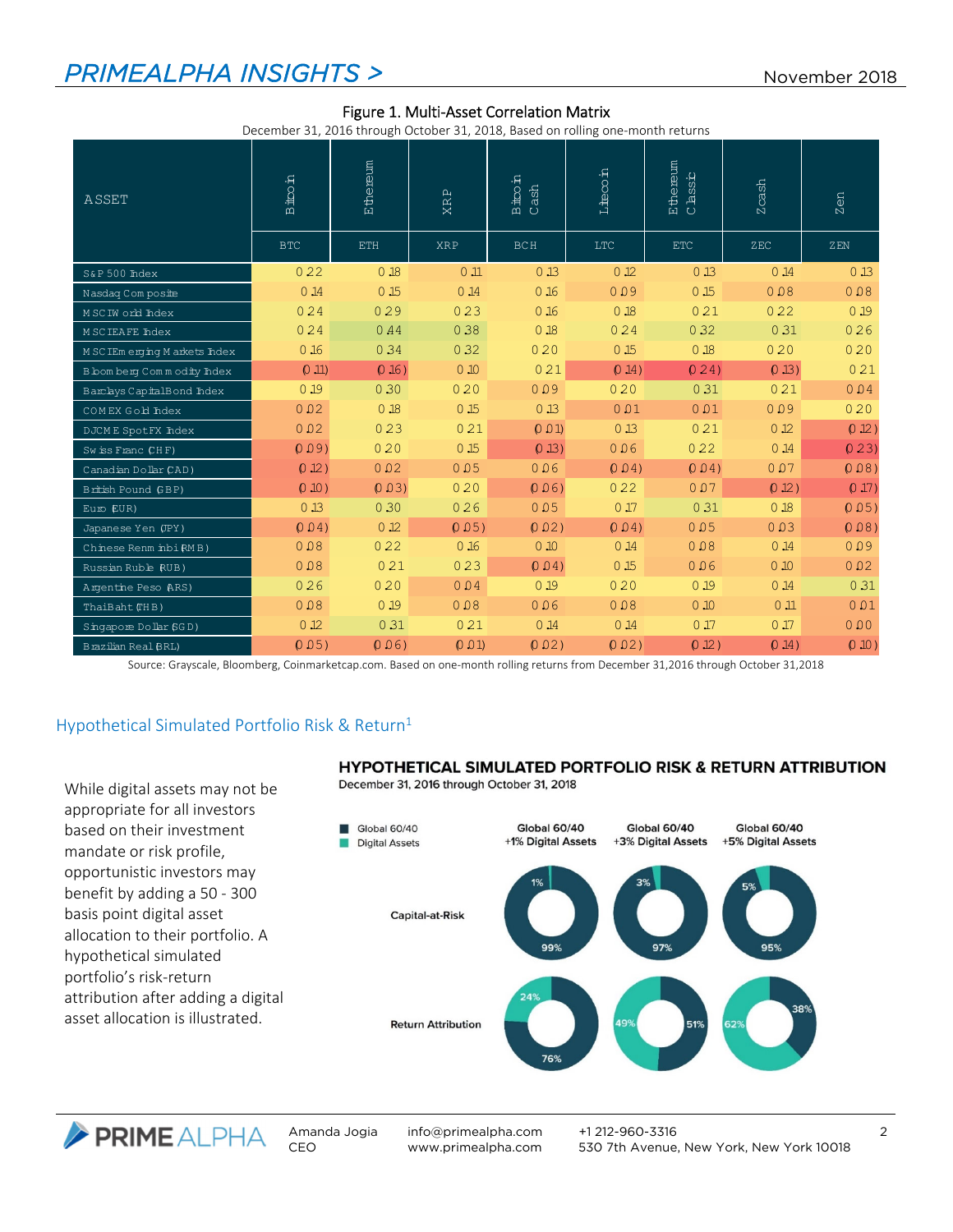# **PRIMEALPHA INSIGHTS >** November 2018

|                                | December 31, 2016 through October 31, 2018, Based on rolling one-month returns |            |                 |                          |                 |                     |                     |        |
|--------------------------------|--------------------------------------------------------------------------------|------------|-----------------|--------------------------|-----------------|---------------------|---------------------|--------|
| ASSET                          | <b>Host</b><br>$\mathbf{\Omega}$                                               | Ethereum   | <b>XRP</b>      | $\frac{1}{\text{B}}$ ash | Liecoin         | Ethereum<br>Classic | cash<br>$\mathbb N$ | Zen    |
|                                | <b>BTC</b>                                                                     | <b>ETH</b> | <b>XRP</b>      | <b>BCH</b>               | LTC             | <b>ETC</b>          | ZEC                 | ZEN    |
| S&P 500 Index                  | 022                                                                            | 0.18       | 0.11            | 013                      | 0.12            | 0 <sub>13</sub>     | 0.14                | 0.13   |
| Nasdaq Com posite              | 0.14                                                                           | 0.15       | 0.14            | 0.16                     | 0.09            | 0 <sub>15</sub>     | 0.08                | 0.08   |
| MSCIW orld Index               | 024                                                                            | 029        | 023             | 0.16                     | 0.18            | 021                 | 022                 | 0.19   |
| <b>MSCIEAFE Index</b>          | 024                                                                            | 0.44       | 0.38            | 0.18                     | 024             | 0.32                | 0.31                | 026    |
| M SC IEm erging M arkets Index | 0.16                                                                           | 034        | 0.32            | 020                      | 0.15            | 0.18                | 020                 | 020    |
| B bom berg Commodity Index     | (0,11)                                                                         | $0.16$ )   | 0.10            | 021                      | 0.14)           | 024)                | (0.13)              | 021    |
| Barclays CapitalBond Index     | 0.19                                                                           | 0.30       | 020             | 0.09                     | 020             | 0.31                | 021                 | 0.04   |
| COMEX Gold Index               | 0.02                                                                           | 0.18       | 0 <sub>15</sub> | 0 <sub>13</sub>          | 0.01            | 0.01                | 0.09                | 020    |
| <b>DJCME SpotFX Index</b>      | 0.02                                                                           | 023        | 021             | (0.01)                   | 0 <sub>13</sub> | 021                 | 0.12                | 0.12)  |
| Swiss Franc CHF)               | 0.09                                                                           | 020        | 0 <sub>15</sub> | (0, 13)                  | 0.06            | 022                 | 0.14                | (0.23) |
| Canadian Dollar CAD)           | 0.12)                                                                          | 0.02       | 0.05            | 0.06                     | 0.04            | 0.04                | 0.07                | (0.08) |
| British Pound GBP)             | (0,10)                                                                         | 0.03       | 020             | 0.06                     | 022             | 0.07                | (0.12)              | (0.17) |
| Euro EUR)                      | 013                                                                            | 0.30       | 026             | 0.05                     | 0.17            | 0 31                | 0.18                | 0.05   |
| Japanese Yen (JPY)             | 0.04                                                                           | 0.12       | 0.05            | 0.02                     | 0.04            | 0.05                | 0.03                | (0.08) |
| Chinese Renm inbi RM B)        | 0.08                                                                           | 022        | 0.16            | 0.10                     | 0.14            | 0.08                | 0.14                | 0.09   |
| Russian Ruble RUB)             | 0.08                                                                           | 021        | 023             | 0.04                     | 0.15            | 0.06                | 0.10                | 0.02   |
| Argentine Peso (ARS)           | 026                                                                            | 020        | 0.04            | 019                      | 020             | 0.19                | 0.14                | 0.31   |
| ThaiBaht (THB)                 | 0.08                                                                           | 019        | 0.08            | 0.06                     | 0.08            | 0.10                | 0 <sub>11</sub>     | 0.01   |
| Singapore Dollar (GGD)         | 0.12                                                                           | 0.31       | 021             | 0.14                     | 0.14            | 0.17                | 0.17                | 0.00   |
| <b>Brazilian Real BRL)</b>     | 0.05                                                                           | 0.06       | 0.01            | 0.02                     | 0.02            | 0.12)               | 0.14)               | (0.10) |

#### Figure 1. Multi‐Asset Correlation Matrix

December 31, 2016 through October 31, 2018, Based on rolling one‐month returns

Source: Grayscale, Bloomberg, Coinmarketcap.com. Based on one‐month rolling returns from December 31,2016 through October 31,2018

# Hypothetical Simulated Portfolio Risk & Return<sup>1</sup>

While digital assets may not be appropriate for all investors based on their investment mandate or risk profile, opportunistic investors may benefit by adding a 50 ‐ 300 basis point digital asset allocation to their portfolio. A hypothetical simulated portfolio's risk‐return attribution after adding a digital asset allocation is illustrated.

#### HYPOTHETICAL SIMULATED PORTFOLIO RISK & RETURN ATTRIBUTION

December 31, 2016 through October 31, 2018



PRIMEALPHA Amanda Jogia CEO

info@primealpha.com www.primealpha.com